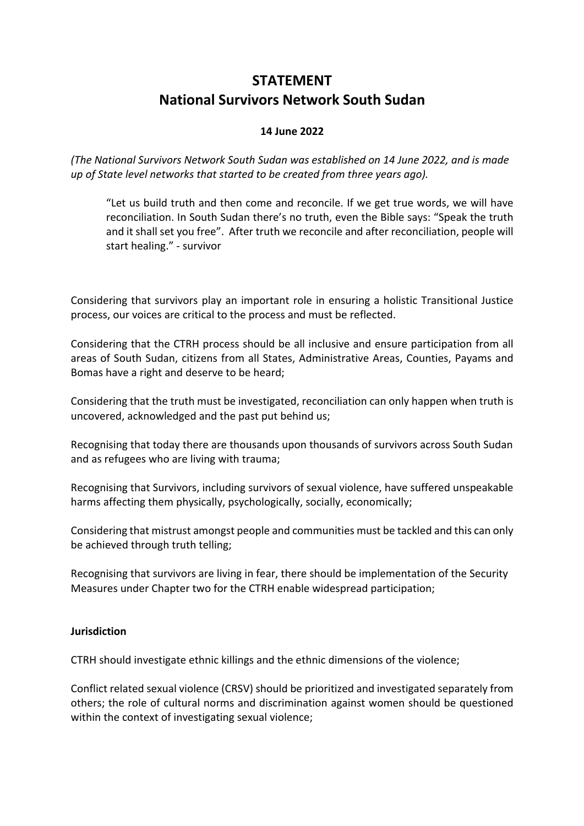# **STATEMENT National Survivors Network South Sudan**

# **14 June 2022**

*(The National Survivors Network South Sudan was established on 14 June 2022, and is made up of State level networks that started to be created from three years ago).*

"Let us build truth and then come and reconcile. If we get true words, we will have reconciliation. In South Sudan there's no truth, even the Bible says: "Speak the truth and it shall set you free". After truth we reconcile and after reconciliation, people will start healing." - survivor

Considering that survivors play an important role in ensuring a holistic Transitional Justice process, our voices are critical to the process and must be reflected.

Considering that the CTRH process should be all inclusive and ensure participation from all areas of South Sudan, citizens from all States, Administrative Areas, Counties, Payams and Bomas have a right and deserve to be heard;

Considering that the truth must be investigated, reconciliation can only happen when truth is uncovered, acknowledged and the past put behind us;

Recognising that today there are thousands upon thousands of survivors across South Sudan and as refugees who are living with trauma;

Recognising that Survivors, including survivors of sexual violence, have suffered unspeakable harms affecting them physically, psychologically, socially, economically;

Considering that mistrust amongst people and communities must be tackled and this can only be achieved through truth telling;

Recognising that survivors are living in fear, there should be implementation of the Security Measures under Chapter two for the CTRH enable widespread participation;

# **Jurisdiction**

CTRH should investigate ethnic killings and the ethnic dimensions of the violence;

Conflict related sexual violence (CRSV) should be prioritized and investigated separately from others; the role of cultural norms and discrimination against women should be questioned within the context of investigating sexual violence;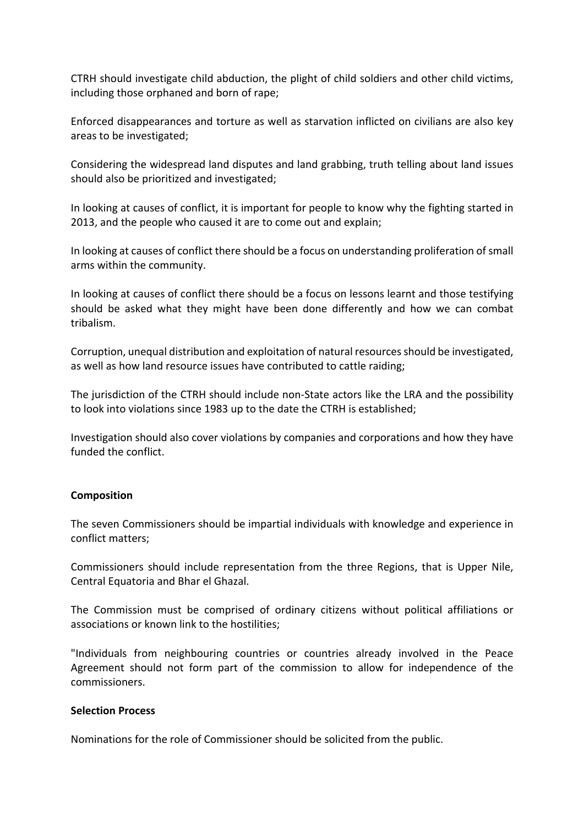CTRH should investigate child abduction, the plight of child soldiers and other child victims, including those orphaned and born of rape;

Enforced disappearances and torture as well as starvation inflicted on civilians are also key areas to be investigated;

Considering the widespread land disputes and land grabbing, truth telling about land issues should also be prioritized and investigated;

In looking at causes of conflict, it is important for people to know why the fighting started in 2013, and the people who caused it are to come out and explain;

In looking at causes of conflict there should be a focus on understanding proliferation of small arms within the community.

In looking at causes of conflict there should be a focus on lessons learnt and those testifying should be asked what they might have been done differently and how we can combat tribalism.

Corruption, unequal distribution and exploitation of natural resources should be investigated, as well as how land resource issues have contributed to cattle raiding;

The jurisdiction of the CTRH should include non-State actors like the LRA and the possibility to look into violations since 1983 up to the date the CTRH is established;

Investigation should also cover violations by companies and corporations and how they have funded the conflict.

#### **Composition**

The seven Commissioners should be impartial individuals with knowledge and experience in conflict matters;

Commissioners should include representation from the three Regions, that is Upper Nile, Central Equatoria and Bhar el Ghazal.

The Commission must be comprised of ordinary citizens without political affiliations or associations or known link to the hostilities;

"Individuals from neighbouring countries or countries already involved in the Peace Agreement should not form part of the commission to allow for independence of the commissioners.

#### **Selection Process**

Nominations for the role of Commissioner should be solicited from the public.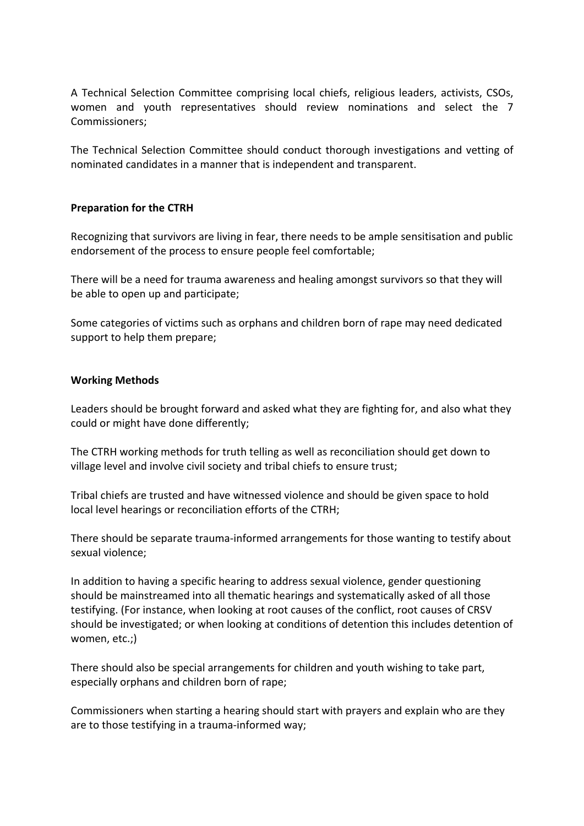A Technical Selection Committee comprising local chiefs, religious leaders, activists, CSOs, women and youth representatives should review nominations and select the 7 Commissioners;

The Technical Selection Committee should conduct thorough investigations and vetting of nominated candidates in a manner that is independent and transparent.

#### **Preparation for the CTRH**

Recognizing that survivors are living in fear, there needs to be ample sensitisation and public endorsement of the process to ensure people feel comfortable;

There will be a need for trauma awareness and healing amongst survivors so that they will be able to open up and participate;

Some categories of victims such as orphans and children born of rape may need dedicated support to help them prepare;

## **Working Methods**

Leaders should be brought forward and asked what they are fighting for, and also what they could or might have done differently;

The CTRH working methods for truth telling as well as reconciliation should get down to village level and involve civil society and tribal chiefs to ensure trust;

Tribal chiefs are trusted and have witnessed violence and should be given space to hold local level hearings or reconciliation efforts of the CTRH;

There should be separate trauma-informed arrangements for those wanting to testify about sexual violence;

In addition to having a specific hearing to address sexual violence, gender questioning should be mainstreamed into all thematic hearings and systematically asked of all those testifying. (For instance, when looking at root causes of the conflict, root causes of CRSV should be investigated; or when looking at conditions of detention this includes detention of women, etc.;)

There should also be special arrangements for children and youth wishing to take part, especially orphans and children born of rape;

Commissioners when starting a hearing should start with prayers and explain who are they are to those testifying in a trauma-informed way;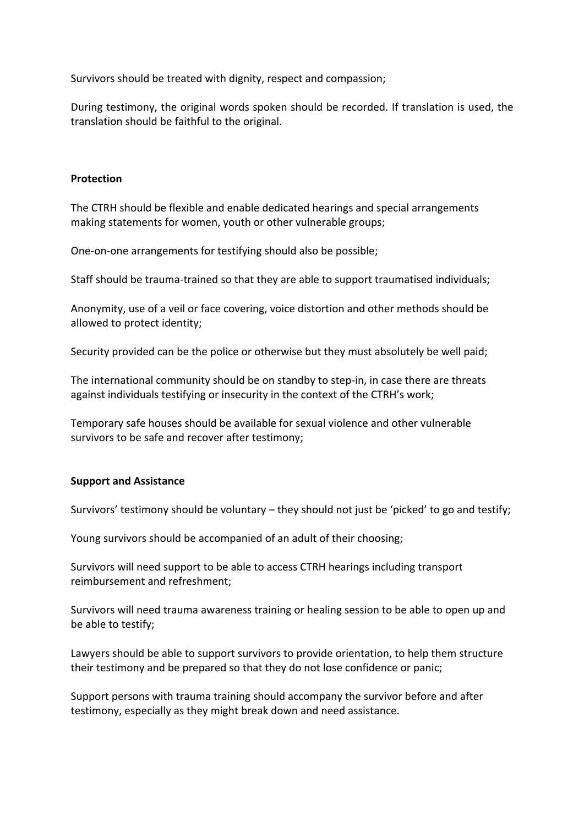Survivors should be treated with dignity, respect and compassion;

During testimony, the original words spoken should be recorded. If translation is used, the translation should be faithful to the original.

## **Protection**

The CTRH should be flexible and enable dedicated hearings and special arrangements making statements for women, youth or other vulnerable groups;

One-on-one arrangements for testifying should also be possible;

Staff should be trauma-trained so that they are able to support traumatised individuals;

Anonymity, use of a veil or face covering, voice distortion and other methods should be allowed to protect identity;

Security provided can be the police or otherwise but they must absolutely be well paid;

The international community should be on standby to step-in, in case there are threats against individuals testifying or insecurity in the context of the CTRH's work;

Temporary safe houses should be available for sexual violence and other vulnerable survivors to be safe and recover after testimony;

# **Support and Assistance**

Survivors' testimony should be voluntary – they should not just be 'picked' to go and testify;

Young survivors should be accompanied of an adult of their choosing;

Survivors will need support to be able to access CTRH hearings including transport reimbursement and refreshment;

Survivors will need trauma awareness training or healing session to be able to open up and be able to testify;

Lawyers should be able to support survivors to provide orientation, to help them structure their testimony and be prepared so that they do not lose confidence or panic;

Support persons with trauma training should accompany the survivor before and after testimony, especially as they might break down and need assistance.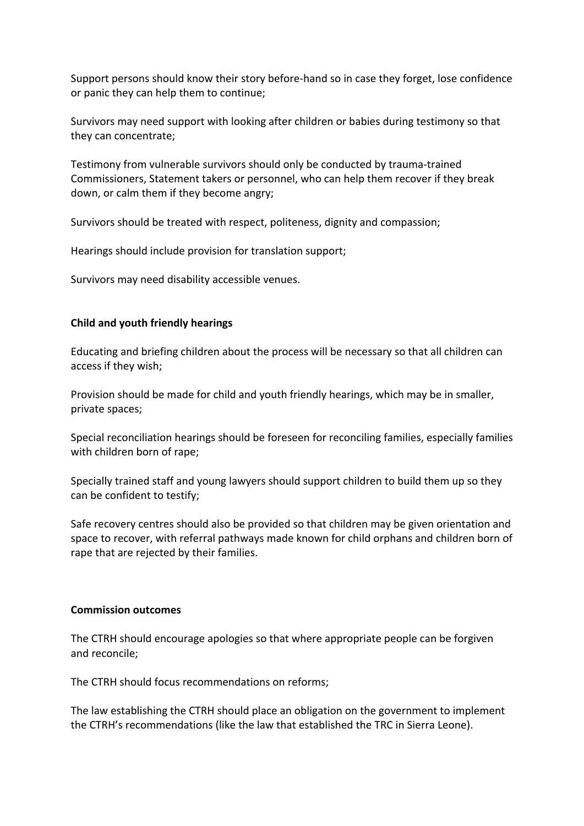Support persons should know their story before-hand so in case they forget, lose confidence or panic they can help them to continue;

Survivors may need support with looking after children or babies during testimony so that they can concentrate;

Testimony from vulnerable survivors should only be conducted by trauma-trained Commissioners, Statement takers or personnel, who can help them recover if they break down, or calm them if they become angry;

Survivors should be treated with respect, politeness, dignity and compassion;

Hearings should include provision for translation support;

Survivors may need disability accessible venues.

## **Child and youth friendly hearings**

Educating and briefing children about the process will be necessary so that all children can access if they wish;

Provision should be made for child and youth friendly hearings, which may be in smaller, private spaces;

Special reconciliation hearings should be foreseen for reconciling families, especially families with children born of rape;

Specially trained staff and young lawyers should support children to build them up so they can be confident to testify;

Safe recovery centres should also be provided so that children may be given orientation and space to recover, with referral pathways made known for child orphans and children born of rape that are rejected by their families.

#### **Commission outcomes**

The CTRH should encourage apologies so that where appropriate people can be forgiven and reconcile;

The CTRH should focus recommendations on reforms;

The law establishing the CTRH should place an obligation on the government to implement the CTRH's recommendations (like the law that established the TRC in Sierra Leone).